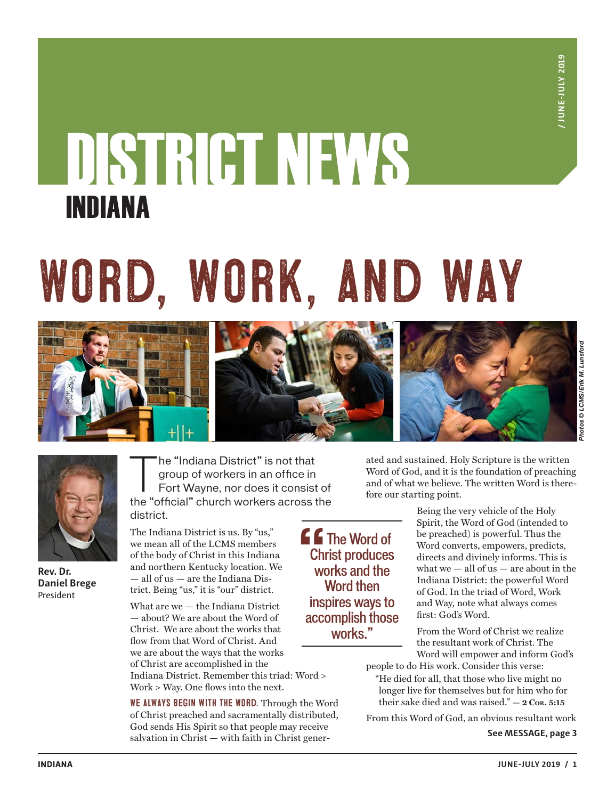## DISTRICT NEWS INDIANA

# Word, work, and way





**Rev. Dr. Daniel Brege** President

The "Indiana District" is not that<br>group of workers in an office in<br>Fort Wayne, nor does it consist group of workers in an office in Fort Wayne, nor does it consist of the "official" church workers across the district.

The Indiana District is us. By "us," we mean all of the LCMS members of the body of Christ in this Indiana and northern Kentucky location. We — all of us — are the Indiana District. Being "us," it is "our" district.

What are we — the Indiana District — about? We are about the Word of Christ. We are about the works that flow from that Word of Christ. And we are about the ways that the works of Christ are accomplished in the Indiana District. Remember this triad: Word > Work > Way. One flows into the next.

WE ALWAYS BEGIN WITH THE WORD. Through the Word of Christ preached and sacramentally distributed, God sends His Spirit so that people may receive salvation in Christ — with faith in Christ gener-

ated and sustained. Holy Scripture is the written Word of God, and it is the foundation of preaching and of what we believe. The written Word is therefore our starting point.

**f** Ihe Word of Christ produces works and the Word then inspires ways to accomplish those works."

Being the very vehicle of the Holy Spirit, the Word of God (intended to be preached) is powerful. Thus the Word converts, empowers, predicts, directs and divinely informs. This is what we  $-$  all of us  $-$  are about in the Indiana District: the powerful Word of God. In the triad of Word, Work and Way, note what always comes first: God's Word.

From the Word of Christ we realize the resultant work of Christ. The Word will empower and inform God's

people to do His work. Consider this verse:

"He died for all, that those who live might no longer live for themselves but for him who for their sake died and was raised." **— 2 Cor. 5:15**

From this Word of God, an obvious resultant work

**See MESSAGE, page 3**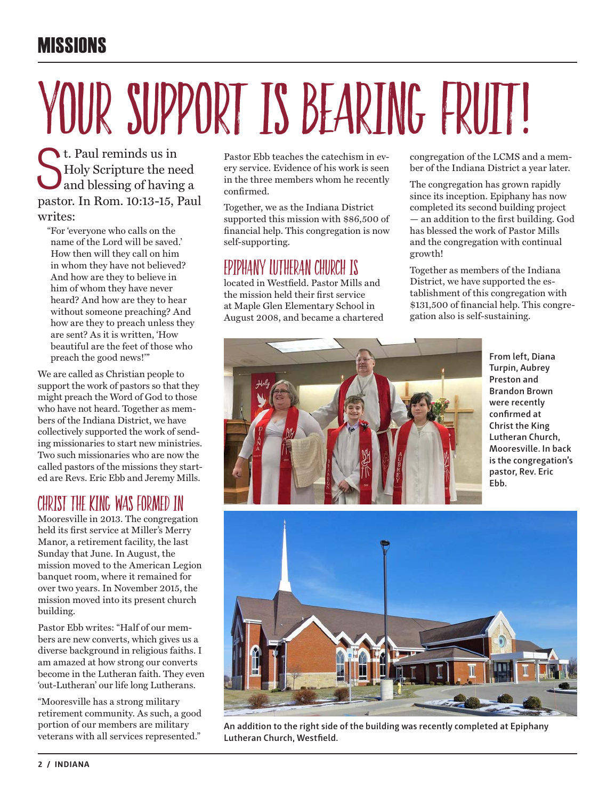## **MISSIONS**

# YOUR SUPPORT IS BEARING FRUIT!

<sup>t.</sup> Paul reminds us in<br>Holy Scripture the ne<br>and blessing of having Holy Scripture the need and blessing of having a pastor. In Rom. 10:13-15, Paul writes:

"For 'everyone who calls on the name of the Lord will be saved.' How then will they call on him in whom they have not believed? And how are they to believe in him of whom they have never heard? And how are they to hear without someone preaching? And how are they to preach unless they are sent? As it is written, 'How beautiful are the feet of those who preach the good news!'"

We are called as Christian people to support the work of pastors so that they might preach the Word of God to those who have not heard. Together as members of the Indiana District, we have collectively supported the work of sending missionaries to start new ministries. Two such missionaries who are now the called pastors of the missions they started are Revs. Eric Ebb and Jeremy Mills.

## Christ the King was formed in

Mooresville in 2013. The congregation held its first service at Miller's Merry Manor, a retirement facility, the last Sunday that June. In August, the mission moved to the American Legion banquet room, where it remained for over two years. In November 2015, the mission moved into its present church building.

Pastor Ebb writes: "Half of our members are new converts, which gives us a diverse background in religious faiths. I am amazed at how strong our converts become in the Lutheran faith. They even 'out-Lutheran' our life long Lutherans.

"Mooresville has a strong military retirement community. As such, a good portion of our members are military veterans with all services represented."

Pastor Ebb teaches the catechism in every service. Evidence of his work is seen in the three members whom he recently confirmed.

Together, we as the Indiana District supported this mission with \$86,500 of financial help. This congregation is now self-supporting.

### EPIPHANY LUTHERAN CHURCH IS

located in Westfield. Pastor Mills and the mission held their first service at Maple Glen Elementary School in August 2008, and became a chartered congregation of the LCMS and a member of the Indiana District a year later.

The congregation has grown rapidly since its inception. Epiphany has now completed its second building project — an addition to the first building. God has blessed the work of Pastor Mills and the congregation with continual growth!

Together as members of the Indiana District, we have supported the establishment of this congregation with \$131,500 of financial help. This congregation also is self-sustaining.



**From left, Diana Turpin, Aubrey Preston and Brandon Brown were recently confirmed at Christ the King Lutheran Church, Mooresville. In back is the congregation's pastor, Rev. Eric Ebb.**



**An addition to the right side of the building was recently completed at Epiphany Lutheran Church, Westfield.**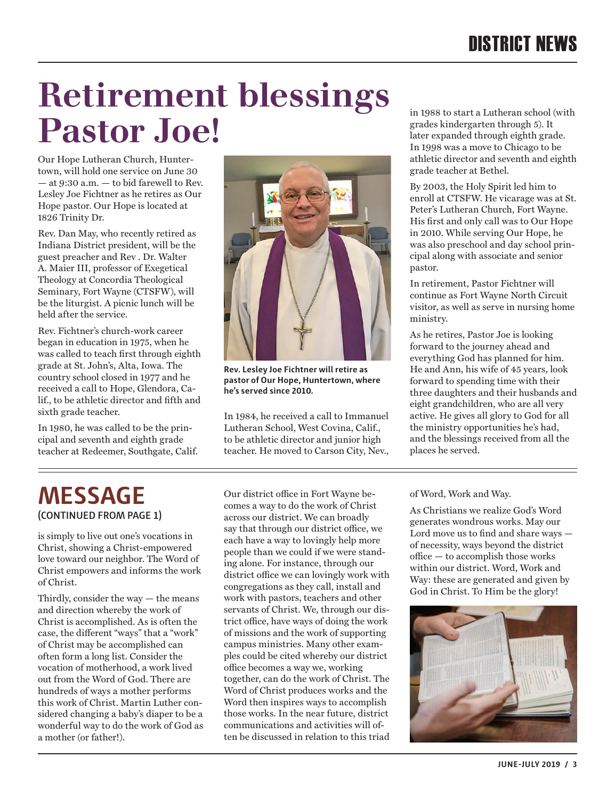## **Retirement blessings Pastor Joe!**

Our Hope Lutheran Church, Huntertown, will hold one service on June 30 — at 9:30 a.m. — to bid farewell to Rev. Lesley Joe Fichtner as he retires as Our Hope pastor. Our Hope is located at 1826 Trinity Dr.

Rev. Dan May, who recently retired as Indiana District president, will be the guest preacher and Rev . Dr. Walter A. Maier III, professor of Exegetical Theology at Concordia Theological Seminary, Fort Wayne (CTSFW), will be the liturgist. A picnic lunch will be held after the service.

Rev. Fichtner's church-work career began in education in 1975, when he was called to teach first through eighth grade at St. John's, Alta, Iowa. The country school closed in 1977 and he received a call to Hope, Glendora, Calif., to be athletic director and fifth and sixth grade teacher.

In 1980, he was called to be the principal and seventh and eighth grade teacher at Redeemer, Southgate, Calif.



**Rev. Lesley Joe Fichtner will retire as pastor of Our Hope, Huntertown, where he's served since 2010.**

In 1984, he received a call to Immanuel Lutheran School, West Covina, Calif., to be athletic director and junior high teacher. He moved to Carson City, Nev.,

**MESSAGE (CONTINUED FROM PAGE 1)**

is simply to live out one's vocations in Christ, showing a Christ-empowered love toward our neighbor. The Word of Christ empowers and informs the work of Christ.

Thirdly, consider the way — the means and direction whereby the work of Christ is accomplished. As is often the case, the different "ways" that a "work" of Christ may be accomplished can often form a long list. Consider the vocation of motherhood, a work lived out from the Word of God. There are hundreds of ways a mother performs this work of Christ. Martin Luther considered changing a baby's diaper to be a wonderful way to do the work of God as a mother (or father!).

Our district office in Fort Wayne becomes a way to do the work of Christ across our district. We can broadly say that through our district office, we each have a way to lovingly help more people than we could if we were standing alone. For instance, through our district office we can lovingly work with congregations as they call, install and work with pastors, teachers and other servants of Christ. We, through our district office, have ways of doing the work of missions and the work of supporting campus ministries. Many other examples could be cited whereby our district office becomes a way we, working together, can do the work of Christ. The Word of Christ produces works and the Word then inspires ways to accomplish those works. In the near future, district communications and activities will often be discussed in relation to this triad

in 1988 to start a Lutheran school (with grades kindergarten through 5). It later expanded through eighth grade. In 1998 was a move to Chicago to be athletic director and seventh and eighth grade teacher at Bethel.

By 2003, the Holy Spirit led him to enroll at CTSFW. He vicarage was at St. Peter's Lutheran Church, Fort Wayne. His first and only call was to Our Hope in 2010. While serving Our Hope, he was also preschool and day school principal along with associate and senior pastor.

In retirement, Pastor Fichtner will continue as Fort Wayne North Circuit visitor, as well as serve in nursing home ministry.

As he retires, Pastor Joe is looking forward to the journey ahead and everything God has planned for him. He and Ann, his wife of 45 years, look forward to spending time with their three daughters and their husbands and eight grandchildren, who are all very active. He gives all glory to God for all the ministry opportunities he's had, and the blessings received from all the places he served.

of Word, Work and Way.

As Christians we realize God's Word generates wondrous works. May our Lord move us to find and share ways of necessity, ways beyond the district office — to accomplish those works within our district. Word, Work and Way: these are generated and given by God in Christ. To Him be the glory!

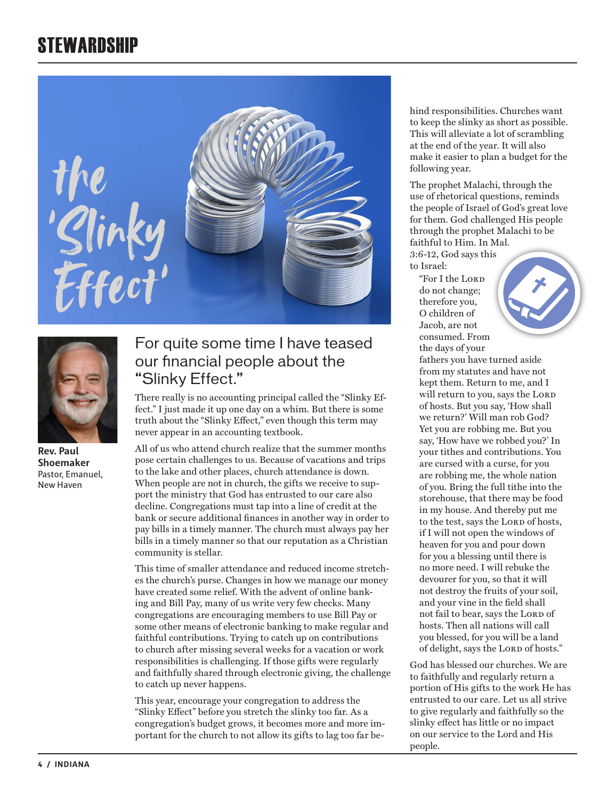## **STEWARDSHIP**





**Rev. Paul Shoemaker** Pastor, Emanuel, New Haven

#### For quite some time I have teased our financial people about the "Slinky Effect."

There really is no accounting principal called the "Slinky Effect." I just made it up one day on a whim. But there is some truth about the "Slinky Effect," even though this term may never appear in an accounting textbook.

All of us who attend church realize that the summer months pose certain challenges to us. Because of vacations and trips to the lake and other places, church attendance is down. When people are not in church, the gifts we receive to support the ministry that God has entrusted to our care also decline. Congregations must tap into a line of credit at the bank or secure additional finances in another way in order to pay bills in a timely manner. The church must always pay her bills in a timely manner so that our reputation as a Christian community is stellar.

This time of smaller attendance and reduced income stretches the church's purse. Changes in how we manage our money have created some relief. With the advent of online banking and Bill Pay, many of us write very few checks. Many congregations are encouraging members to use Bill Pay or some other means of electronic banking to make regular and faithful contributions. Trying to catch up on contributions to church after missing several weeks for a vacation or work responsibilities is challenging. If those gifts were regularly and faithfully shared through electronic giving, the challenge to catch up never happens.

This year, encourage your congregation to address the "Slinky Effect" before you stretch the slinky too far. As a congregation's budget grows, it becomes more and more important for the church to not allow its gifts to lag too far behind responsibilities. Churches want to keep the slinky as short as possible. This will alleviate a lot of scrambling at the end of the year. It will also make it easier to plan a budget for the following year.

The prophet Malachi, through the use of rhetorical questions, reminds the people of Israel of God's great love for them. God challenged His people through the prophet Malachi to be faithful to Him. In Mal.

3:6-12, God says this to Israel:

"For I the Lord do not change; therefore you, O children of Jacob, are not consumed. From the days of your



heaven for you and pour down for you a blessing until there is no more need. I will rebuke the devourer for you, so that it will not destroy the fruits of your soil, and your vine in the field shall not fail to bear, says the LORD of hosts. Then all nations will call you blessed, for you will be a land of delight, says the LORD of hosts."

God has blessed our churches. We are to faithfully and regularly return a portion of His gifts to the work He has entrusted to our care. Let us all strive to give regularly and faithfully so the slinky effect has little or no impact on our service to the Lord and His people.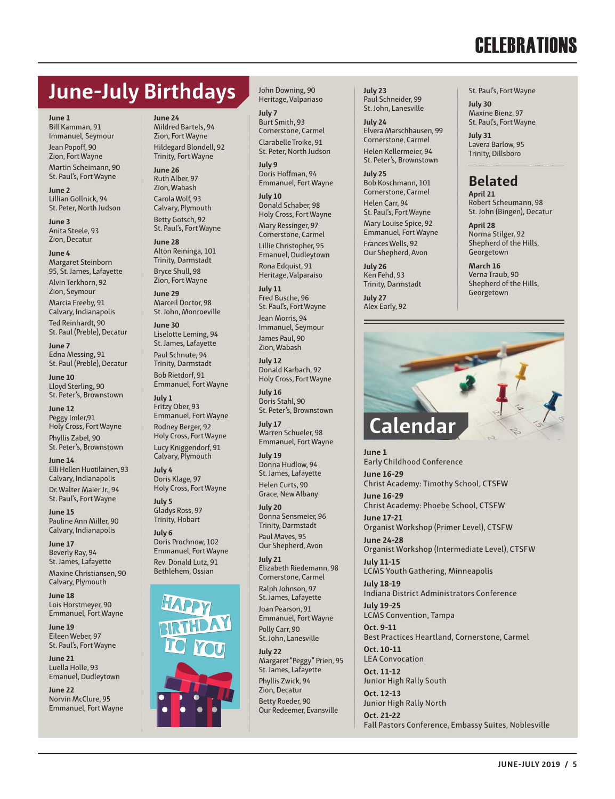## **CELEBRATIONS**

## **June-July Birthdays**

**June 1** Bill Kamman, 91 Immanuel, Seymour Jean Popoff, 90 Zion, Fort Wayne Martin Scheimann, 90 St. Paul's, Fort Wayne

**June 2** Lillian Gollnick, 94 St. Peter, North Judson

**June 3** Anita Steele, 93 Zion, Decatur

**June 4** Margaret Steinborn 95, St. James, Lafayette Alvin Terkhorn, 92 Zion, Seymour

Marcia Freeby, 91 Calvary, Indianapolis

Ted Reinhardt, 90 St. Paul (Preble), Decatur

**June 7** Edna Messing, 91 St. Paul (Preble), Decatur

**June 10** Lloyd Sterling, 90 St. Peter's, Brownstown

**June 12** Peggy Imler,91 Holy Cross, Fort Wayne Phyllis Zabel, 90 St. Peter's, Brownstown

**June 14** Elli Hellen Huotilainen, 93 Calvary, Indianapolis

Dr. Walter Maier Jr., 94 St. Paul's, Fort Wayne

**June 15** Pauline Ann Miller, 90 Calvary, Indianapolis

**June 17** Beverly Ray, 94 St. James, Lafayette

Maxine Christiansen, 90 Calvary, Plymouth

**June 18** Lois Horstmeyer, 90 Emmanuel, Fort Wayne

**June 19** Eileen Weber, 97 St. Paul's, Fort Wayne

**June 21** Luella Holle, 93 Emanuel, Dudleytown

**June 22** Norvin McClure, 95 Emmanuel, Fort Wayne **June 24** Mildred Bartels, 94 Zion, Fort Wayne Hildegard Blondell, 92 Trinity, Fort Wayne

**June 26** Ruth Alber, 97 Zion, Wabash Carola Wolf, 93 Calvary, Plymouth Betty Gotsch, 92 St. Paul's, Fort Wayne

**June 28** Alton Reininga, 101 Trinity, Darmstadt Bryce Shull, 98 Zion, Fort Wayne

**June 29** Marceil Doctor, 98 St. John, Monroeville

**June 30** Liselotte Leming, 94 St. James, Lafayette

Paul Schnute, 94 Trinity, Darmstadt Bob Rietdorf, 91 Emmanuel, Fort Wayne

**July 1** Fritzy Ober, 93 Emmanuel, Fort Wayne Rodney Berger, 92 Holy Cross, Fort Wayne Lucy Kniggendorf, 91 Calvary, Plymouth

**July 4** Doris Klage, 97 Holy Cross, Fort Wayne

**July 5** Gladys Ross, 97 Trinity, Hobart

**July 6** Doris Prochnow, 102 Emmanuel, Fort Wayne Rev. Donald Lutz, 91 Bethlehem, Ossian



John Downing, 90 Heritage, Valpariaso

**July 7** Burt Smith, 93 Cornerstone, Carmel Clarabelle Troike, 91 St. Peter, North Judson

**July 9** Doris Hoffman, 94 Emmanuel, Fort Wayne

**July 10** Donald Schaber, 98 Holy Cross, Fort Wayne Mary Ressinger, 97 Cornerstone, Carmel Lillie Christopher, 95 Emanuel, Dudleytown

Rona Edquist, 91 Heritage, Valparaiso

**July 11** Fred Busche, 96 St. Paul's, Fort Wayne

Jean Morris, 94 Immanuel, Seymour James Paul, 90 Zion, Wabash

**July 12** Donald Karbach, 92 Holy Cross, Fort Wayne

**July 16** Doris Stahl, 90 St. Peter's, Brownstown

**July 17** Warren Schueler, 98 Emmanuel, Fort Wayne

**July 19** Donna Hudlow, 94 St. James, Lafayette Helen Curts, 90 Grace, New Albany

**July 20** Donna Sensmeier, 96 Trinity, Darmstadt Paul Maves, 95 Our Shepherd, Avon

**July 21** Elizabeth Riedemann, 98 Cornerstone, Carmel Ralph Johnson, 97 St. James, Lafayette Joan Pearson, 91 Emmanuel, Fort Wayne Polly Carr, 90

St. John, Lanesville

**July 22** Margaret "Peggy" Prien, 95 St. James, Lafayette Phyllis Zwick, 94 Zion, Decatur Betty Roeder, 90 Our Redeemer, Evansville

**July 23** Paul Schneider, 99 St. John, Lanesville

**July 24** Elvera Marschhausen, 99 Cornerstone, Carmel Helen Kellermeier, 94 St. Peter's, Brownstown

**July 25** Bob Koschmann, 101 Cornerstone, Carmel Helen Carr, 94 St. Paul's, Fort Wayne Mary Louise Spice, 92 Emmanuel, Fort Wayne Frances Wells, 92 Our Shepherd, Avon

**July 26** Ken Fehd, 93 Trinity, Darmstadt

**July 27** Alex Early, 92 St. Paul's, Fort Wayne

**July 30** Maxine Bienz, 97 St. Paul's, Fort Wayne

**July 31** Lavera Barlow, 95 Trinity, Dillsboro

#### **Belated**

**April 21** Robert Scheumann, 98 St. John (Bingen), Decatur

**April 28** Norma Stilger, 92 Shepherd of the Hills **Georgetown** 

**March 16** Verna Traub, 90 Shepherd of the Hills, **Georgetown** 



**June 1** Early Childhood Conference **June 16-29** Christ Academy: Timothy School, CTSFW **June 16-29** Christ Academy: Phoebe School, CTSFW **June 17-21** Organist Workshop (Primer Level), CTSFW **June 24-28** Organist Workshop (Intermediate Level), CTSFW **July 11-15** LCMS Youth Gathering, Minneapolis **July 18-19** Indiana District Administrators Conference **July 19-25** LCMS Convention, Tampa **Oct. 9-11** Best Practices Heartland, Cornerstone, Carmel **Oct. 10-11** LEA Convocation **Oct. 11-12** Junior High Rally South **Oct. 12-13** Junior High Rally North **Oct. 21-22** Fall Pastors Conference, Embassy Suites, Noblesville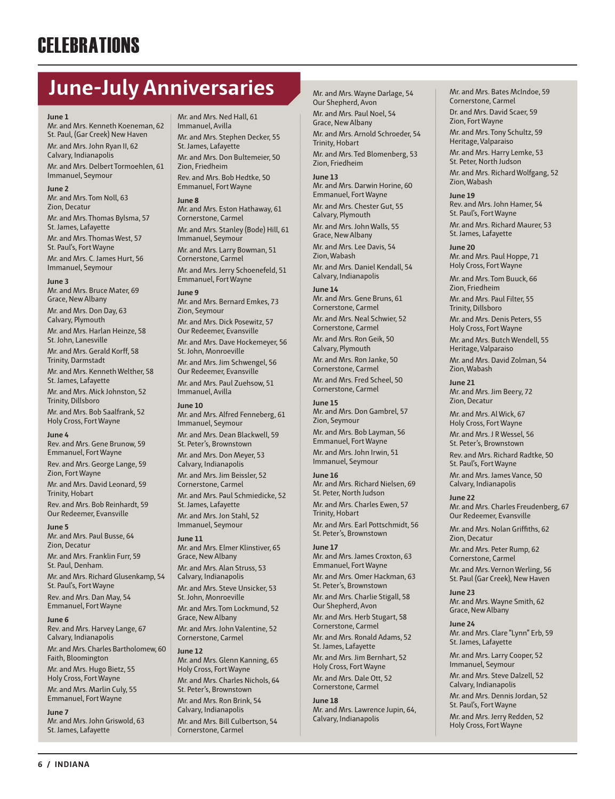## **CELEBRATIONS**

## **June-July Anniversaries**

#### **June 1**

Mr. and Mrs. Kenneth Koeneman, 62 St. Paul, (Gar Creek) New Haven Mr. and Mrs. John Ryan II, 62 Calvary, Indianapolis

Mr. and Mrs. Delbert Tormoehlen, 61 Immanuel, Seymour

#### **June 2**

Mr. and Mrs. Tom Noll, 63 Zion, Decatur Mr. and Mrs. Thomas Bylsma, 57 St. James, Lafayette Mr. and Mrs. Thomas West, 57 St. Paul's, Fort Wayne Mr. and Mrs. C. James Hurt, 56 Immanuel, Seymour

#### **June 3**

Mr. and Mrs. Bruce Mater, 69 Grace, New Albany Mr. and Mrs. Don Day, 63 Calvary, Plymouth Mr. and Mrs. Harlan Heinze, 58 St. John, Lanesville Mr. and Mrs. Gerald Korff, 58 Trinity, Darmstadt Mr. and Mrs. Kenneth Welther, 58 St. James, Lafayette Mr. and Mrs. Mick Johnston, 52 Trinity, Dillsboro Mr. and Mrs. Bob Saalfrank, 52 Holy Cross, Fort Wayne

#### **June 4**

Rev. and Mrs. Gene Brunow, 59 Emmanuel, Fort Wayne

Rev. and Mrs. George Lange, 59 Zion, Fort Wayne

Mr. and Mrs. David Leonard, 59 Trinity, Hobart

Rev. and Mrs. Bob Reinhardt, 59 Our Redeemer, Evansville

#### **June 5**

Mr. and Mrs. Paul Busse, 64 Zion, Decatur Mr. and Mrs. Franklin Furr, 59 St. Paul, Denham. Mr. and Mrs. Richard Glusenkamp, 54 St. Paul's, Fort Wayne Rev. and Mrs. Dan May, 54 Emmanuel, Fort Wayne

**June 6** Rev. and Mrs. Harvey Lange, 67 Calvary, Indianapolis

Mr. and Mrs. Charles Bartholomew, 60 Faith, Bloomington

Mr. and Mrs. Hugo Bietz, 55 Holy Cross, Fort Wayne Mr. and Mrs. Marlin Culy, 55

Emmanuel, Fort Wayne **June 7** Mr. and Mrs. John Griswold, 63 St. James, Lafayette

Mr. and Mrs. Ned Hall, 61 Immanuel, Avilla Mr. and Mrs. Stephen Decker, 55 St. James, Lafayette Mr. and Mrs. Don Bultemeier, 50 Zion, Friedheim Rev. and Mrs. Bob Hedtke, 50 Emmanuel, Fort Wayne

#### **June 8**

Mr. and Mrs. Eston Hathaway, 61 Cornerstone, Carmel Mr. and Mrs. Stanley (Bode) Hill, 61 Immanuel, Seymour Mr. and Mrs. Larry Bowman, 51 Cornerstone, Carmel Mr. and Mrs. Jerry Schoenefeld, 51 Emmanuel, Fort Wayne

#### **June 9**

Mr. and Mrs. Bernard Emkes, 73 Zion, Seymour Mr. and Mrs. Dick Posewitz, 57 Our Redeemer, Evansville Mr. and Mrs. Dave Hockemeyer, 56 St. John, Monroeville Mr. and Mrs. Jim Schwengel, 56 Our Redeemer, Evansville Mr. and Mrs. Paul Zuehsow, 51 Immanuel, Avilla

**June 10**

Mr. and Mrs. Alfred Fenneberg, 61 Immanuel, Seymour Mr. and Mrs. Dean Blackwell, 59 St. Peter's, Brownstown

Mr. and Mrs. Don Meyer, 53 Calvary, Indianapolis Mr. and Mrs. Jim Beissler, 52 Cornerstone, Carmel Mr. and Mrs. Paul Schmiedicke, 52 St. James, Lafayette Mr. and Mrs. Jon Stahl, 52 Immanuel, Seymour

**June 11** Mr. and Mrs. Elmer Klinstiver, 65 Grace, New Albany Mr. and Mrs. Alan Struss, 53 Calvary, Indianapolis Mr. and Mrs. Steve Unsicker, 53 St. John, Monroeville Mr. and Mrs. Tom Lockmund, 52 Grace, New Albany

Mr. and Mrs. John Valentine, 52 Cornerstone, Carmel **June 12**

Mr. and Mrs. Glenn Kanning, 65 Holy Cross, Fort Wayne Mr. and Mrs. Charles Nichols, 64 St. Peter's, Brownstown Mr. and Mrs. Ron Brink, 54 Calvary, Indianapolis Mr. and Mrs. Bill Culbertson, 54

Cornerstone, Carmel

Mr. and Mrs. Wayne Darlage, 54 Our Shepherd, Avon

Mr. and Mrs. Paul Noel, 54 Grace, New Albany Mr. and Mrs. Arnold Schroeder, 54 Trinity, Hobart Mr. and Mrs. Ted Blomenberg, 53 Zion, Friedheim

**June 13** Mr. and Mrs. Darwin Horine, 60 Emmanuel, Fort Wayne Mr. and Mrs. Chester Gut, 55 Calvary, Plymouth

Mr. and Mrs. John Walls, 55 Grace, New Albany

Mr. and Mrs. Lee Davis, 54 Zion, Wabash

Mr. and Mrs. Daniel Kendall, 54 Calvary, Indianapolis

#### **June 14**

Mr. and Mrs. Gene Bruns, 61 Cornerstone, Carmel Mr. and Mrs. Neal Schwier, 52 Cornerstone, Carmel Mr. and Mrs. Ron Geik, 50 Calvary, Plymouth Mr. and Mrs. Ron Janke, 50 Cornerstone, Carmel Mr. and Mrs. Fred Scheel, 50 Cornerstone, Carmel

#### **June 15** Mr. and Mrs. Don Gambrel, 57 Zion, Seymour Mr. and Mrs. Bob Layman, 56 Emmanuel, Fort Wayne Mr. and Mrs. John Irwin, 51 Immanuel, Seymour

**June 16** Mr. and Mrs. Richard Nielsen, 69 St. Peter, North Judson Mr. and Mrs. Charles Ewen, 57 Trinity, Hobart Mr. and Mrs. Earl Pottschmidt, 56 St. Peter's, Brownstown

#### **June 17**

Mr. and Mrs. James Croxton, 63 Emmanuel, Fort Wayne

Mr. and Mrs. Omer Hackman, 63 St. Peter's, Brownstown

Mr. and Mrs. Charlie Stigall, 58 Our Shepherd, Avon Mr. and Mrs. Herb Stugart, 58

Cornerstone, Carmel Mr. and Mrs. Ronald Adams, 52 St. James, Lafayette

Mr. and Mrs. Jim Bernhart, 52 Holy Cross, Fort Wayne Mr. and Mrs. Dale Ott, 52 Cornerstone, Carmel

**June 18** Mr. and Mrs. Lawrence Jupin, 64, Calvary, Indianapolis

Mr. and Mrs. Bates McIndoe, 59 Cornerstone, Carmel

Dr. and Mrs. David Scaer, 59 Zion, Fort Wayne

Mr. and Mrs. Tony Schultz, 59 Heritage, Valparaiso

Mr. and Mrs. Harry Lemke, 53 St. Peter, North Judson

Mr. and Mrs. Richard Wolfgang, 52 Zion, Wabash

**June 19** Rev. and Mrs. John Hamer, 54 St. Paul's, Fort Wayne

Mr. and Mrs. Richard Maurer, 53 St. James, Lafayette

**June 20** Mr. and Mrs. Paul Hoppe, 71 Holy Cross, Fort Wayne

Mr. and Mrs. Tom Buuck, 66 Zion, Friedheim

Mr. and Mrs. Paul Filter, 55 Trinity, Dillsboro

Mr. and Mrs. Denis Peters, 55 Holy Cross, Fort Wayne

Mr. and Mrs. Butch Wendell, 55 Heritage, Valparaiso

Mr. and Mrs. David Zolman, 54 Zion, Wabash

#### **June 21** Mr. and Mrs. Jim Beery, 72 Zion, Decatur

Mr. and Mrs. Al Wick, 67 Holy Cross, Fort Wayne Mr. and Mrs. J R Wessel, 56 St. Peter's, Brownstown Rev. and Mrs. Richard Radtke, 50 St. Paul's, Fort Wayne Mr. and Mrs. James Vance, 50 Calvary, Indianapolis

**June 22** Mr. and Mrs. Charles Freudenberg, 67 Our Redeemer, Evansville

Mr. and Mrs. Nolan Griffiths, 62 Zion, Decatur

Mr. and Mrs. Peter Rump, 62 Cornerstone, Carmel Mr. and Mrs. Vernon Werling, 56 St. Paul (Gar Creek), New Haven

**June 23** Mr. and Mrs. Wayne Smith, 62 Grace, New Albany

**June 24** Mr. and Mrs. Clare "Lynn" Erb, 59 St. James, Lafayette

Mr. and Mrs. Larry Cooper, 52 Immanuel, Seymour

Mr. and Mrs. Steve Dalzell, 52 Calvary, Indianapolis

Mr. and Mrs. Dennis Jordan, 52 St. Paul's, Fort Wayne

Mr. and Mrs. Jerry Redden, 52 Holy Cross, Fort Wayne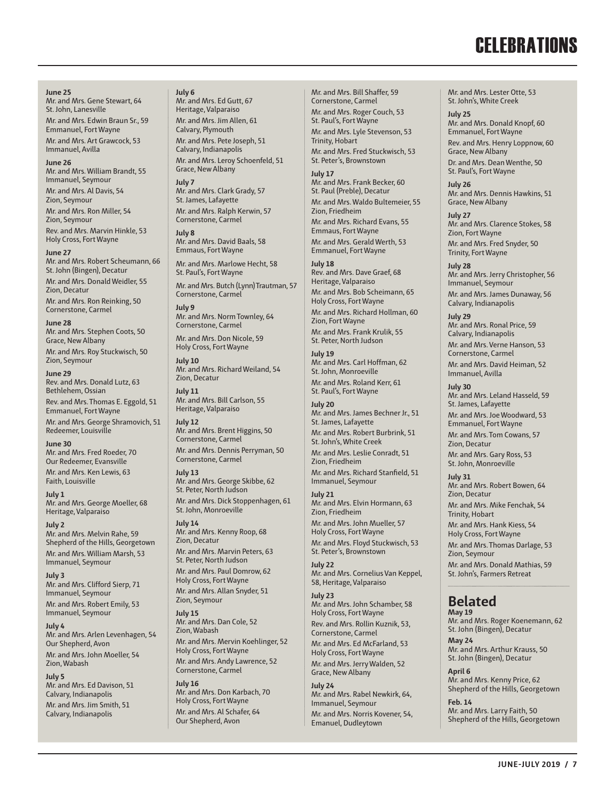## **CELEBRATIONS**

**June 25** Mr. and Mrs. Gene Stewart, 64 St. John, Lanesville Mr. and Mrs. Edwin Braun Sr., 59 Emmanuel, Fort Wayne Mr. and Mrs. Art Grawcock, 53 Immanuel, Avilla

**June 26** Mr. and Mrs. William Brandt, 55 Immanuel, Seymour Mr. and Mrs. Al Davis, 54 Zion, Seymour

Mr. and Mrs. Ron Miller, 54 Zion, Seymour

Rev. and Mrs. Marvin Hinkle, 53 Holy Cross, Fort Wayne

**June 27** Mr. and Mrs. Robert Scheumann, 66 St. John (Bingen), Decatur Mr. and Mrs. Donald Weidler, 55 Zion, Decatur Mr. and Mrs. Ron Reinking, 50 Cornerstone, Carmel

**June 28** Mr. and Mrs. Stephen Coots, 50 Grace, New Albany Mr. and Mrs. Roy Stuckwisch, 50 Zion, Seymour

**June 29** Rev. and Mrs. Donald Lutz, 63 Bethlehem, Ossian Rev. and Mrs. Thomas E. Eggold, 51 Emmanuel, Fort Wayne

Mr. and Mrs. George Shramovich, 51 Redeemer, Louisville

**June 30** Mr. and Mrs. Fred Roeder, 70 Our Redeemer, Evansville

Mr. and Mrs. Ken Lewis, 63 Faith, Louisville

**July 1** Mr. and Mrs. George Moeller, 68 Heritage, Valparaiso

**July 2** Mr. and Mrs. Melvin Rahe, 59 Shepherd of the Hills, Georgetown Mr. and Mrs. William Marsh, 53 Immanuel, Seymour

**July 3** Mr. and Mrs. Clifford Sierp, 71 Immanuel, Seymour Mr. and Mrs. Robert Emily, 53 Immanuel, Seymour

**July 4** Mr. and Mrs. Arlen Levenhagen, 54 Our Shepherd, Avon Mr. and Mrs. John Moeller, 54 Zion, Wabash

**July 5** Mr. and Mrs. Ed Davison, 51 Calvary, Indianapolis Mr. and Mrs. Jim Smith, 51 Calvary, Indianapolis

**July 6** Mr. and Mrs. Ed Gutt, 67 Heritage, Valparaiso Mr. and Mrs. Jim Allen, 61 Calvary, Plymouth Mr. and Mrs. Pete Joseph, 51 Calvary, Indianapolis Mr. and Mrs. Leroy Schoenfeld, 51 Grace, New Albany

**July 7** Mr. and Mrs. Clark Grady, 57 St. James, Lafayette Mr. and Mrs. Ralph Kerwin, 57 Cornerstone, Carmel **July 8**

Mr. and Mrs. David Baals, 58 Emmaus, Fort Wayne Mr. and Mrs. Marlowe Hecht, 58

St. Paul's, Fort Wayne

Mr. and Mrs. Butch (Lynn) Trautman, 57 Cornerstone, Carmel

**July 9** Mr. and Mrs. Norm Townley, 64 Cornerstone, Carmel

Mr. and Mrs. Don Nicole, 59 Holy Cross, Fort Wayne

**July 10** Mr. and Mrs. Richard Weiland, 54 Zion, Decatur

**July 11** Mr. and Mrs. Bill Carlson, 55 Heritage, Valparaiso

**July 12** Mr. and Mrs. Brent Higgins, 50 Cornerstone, Carmel Mr. and Mrs. Dennis Perryman, 50 Cornerstone, Carmel

**July 13** Mr. and Mrs. George Skibbe, 62 St. Peter, North Judson Mr. and Mrs. Dick Stoppenhagen, 61 St. John, Monroeville

**July 14** Mr. and Mrs. Kenny Roop, 68 Zion, Decatur Mr. and Mrs. Marvin Peters, 63 St. Peter, North Judson Mr. and Mrs. Paul Domrow, 62 Holy Cross, Fort Wayne

Mr. and Mrs. Allan Snyder, 51 Zion, Seymour **July 15**

Mr. and Mrs. Dan Cole, 52 Zion, Wabash Mr. and Mrs. Mervin Koehlinger, 52 Holy Cross, Fort Wayne Mr. and Mrs. Andy Lawrence, 52 Cornerstone, Carmel

**July 16** Mr. and Mrs. Don Karbach, 70 Holy Cross, Fort Wayne Mr. and Mrs. Al Schafer, 64 Our Shepherd, Avon

Mr. and Mrs. Bill Shaffer, 59 Cornerstone, Carmel Mr. and Mrs. Roger Couch, 53 St. Paul's, Fort Wayne Mr. and Mrs. Lyle Stevenson, 53 Trinity, Hobart Mr. and Mrs. Fred Stuckwisch, 53 St. Peter's, Brownstown

**July 17** Mr. and Mrs. Frank Becker, 60 St. Paul (Preble), Decatur Mr. and Mrs. Waldo Bultemeier, 55 Zion, Friedheim Mr. and Mrs. Richard Evans, 55 Emmaus, Fort Wayne Mr. and Mrs. Gerald Werth, 53 Emmanuel, Fort Wayne

#### **July 18** Rev. and Mrs. Dave Graef, 68 Heritage, Valparaiso Mr. and Mrs. Bob Scheimann, 65 Holy Cross, Fort Wayne Mr. and Mrs. Richard Hollman, 60 Zion, Fort Wayne

Mr. and Mrs. Frank Krulik, 55 St. Peter, North Judson **July 19** Mr. and Mrs. Carl Hoffman, 62

St. John, Monroeville Mr. and Mrs. Roland Kerr, 61 St. Paul's, Fort Wayne

**July 20** Mr. and Mrs. James Bechner Jr., 51 St. James, Lafayette

Mr. and Mrs. Robert Burbrink, 51 St. John's, White Creek Mr. and Mrs. Leslie Conradt, 51 Zion, Friedheim

Mr. and Mrs. Richard Stanfield, 51 Immanuel, Seymour

**July 21** Mr. and Mrs. Elvin Hormann, 63 Zion, Friedheim

Mr. and Mrs. John Mueller, 57 Holy Cross, Fort Wayne Mr. and Mrs. Floyd Stuckwisch, 53 St. Peter's, Brownstown

**July 22** Mr. and Mrs. Cornelius Van Keppel, 58, Heritage, Valparaiso

**July 23** Mr. and Mrs. John Schamber, 58 Holy Cross, Fort Wayne Rev. and Mrs. Rollin Kuznik, 53, Cornerstone, Carmel Mr. and Mrs. Ed McFarland, 53 Holy Cross, Fort Wayne

Mr. and Mrs. Jerry Walden, 52 Grace, New Albany

**July 24** Mr. and Mrs. Rabel Newkirk, 64, Immanuel, Seymour Mr. and Mrs. Norris Kovener, 54, Emanuel, Dudleytown

Mr. and Mrs. Lester Otte, 53 St. John's, White Creek

#### **July 25**

Mr. and Mrs. Donald Knopf, 60 Emmanuel, Fort Wayne Rev. and Mrs. Henry Loppnow, 60 Grace, New Albany Dr. and Mrs. Dean Wenthe, 50

St. Paul's, Fort Wayne **July 26** Mr. and Mrs. Dennis Hawkins, 51

Grace, New Albany **July 27** Mr. and Mrs. Clarence Stokes, 58 Zion, Fort Wayne Mr. and Mrs. Fred Snyder, 50

Trinity, Fort Wayne **July 28** Mr. and Mrs. Jerry Christopher, 56 Immanuel, Seymour Mr. and Mrs. James Dunaway, 56

Calvary, Indianapolis **July 29** Mr. and Mrs. Ronal Price, 59 Calvary, Indianapolis Mr. and Mrs. Verne Hanson, 53 Cornerstone, Carmel Mr. and Mrs. David Heiman, 52 Immanuel, Avilla

#### **July 30** Mr. and Mrs. Leland Hasseld, 59

St. James, Lafayette Mr. and Mrs. Joe Woodward, 53 Emmanuel, Fort Wayne Mr. and Mrs. Tom Cowans, 57 Zion, Decatur

Mr. and Mrs. Gary Ross, 53 St. John, Monroeville

**July 31** Mr. and Mrs. Robert Bowen, 64 Zion, Decatur Mr. and Mrs. Mike Fenchak, 54 Trinity, Hobart

Mr. and Mrs. Hank Kiess, 54 Holy Cross, Fort Wayne

Mr. and Mrs. Thomas Darlage, 53 Zion, Seymour Mr. and Mrs. Donald Mathias, 59 St. John's, Farmers Retreat

#### **Belated May 19**

Mr. and Mrs. Roger Koenemann, 62 St. John (Bingen), Decatur **May 24**

Mr. and Mrs. Arthur Krauss, 50 St. John (Bingen), Decatur

**April 6** Mr. and Mrs. Kenny Price, 62 Shepherd of the Hills, Georgetown

**Feb. 14** Mr. and Mrs. Larry Faith, 50 Shepherd of the Hills, Georgetown